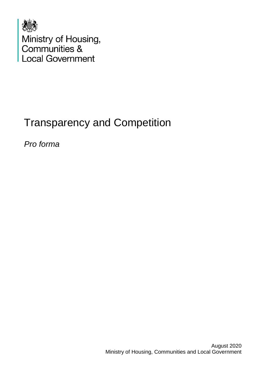

# Transparency and Competition

*Pro forma*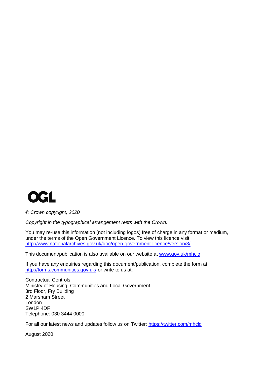

*© Crown copyright, 2020*

*Copyright in the typographical arrangement rests with the Crown.*

You may re-use this information (not including logos) free of charge in any format or medium, under the terms of the Open Government Licence. To view this licence visit <http://www.nationalarchives.gov.uk/doc/open-government-licence/version/3/>

This document/publication is also available on our website at [www.gov.uk/mhclg](http://www.gov.uk/mhclg)

If you have any enquiries regarding this document/publication, complete the form at <http://forms.communities.gov.uk/> or write to us at:

Contractual Controls Ministry of Housing, Communities and Local Government 3rd Floor, Fry Building 2 Marsham Street London SW1P 4DF Telephone: 030 3444 0000

For all our latest news and updates follow us on Twitter:<https://twitter.com/mhclg>

August 2020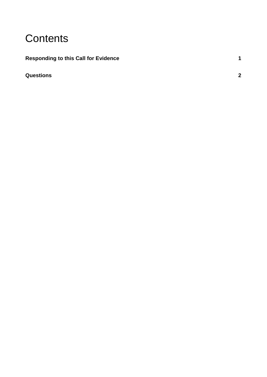# **Contents**

# **[Responding to this Call for Evidence](#page-4-0) 1**

# **[Questions](#page-5-0) 2**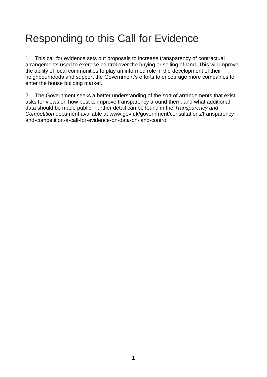# <span id="page-4-0"></span>Responding to this Call for Evidence

1. This call for evidence sets out proposals to increase transparency of contractual arrangements used to exercise control over the buying or selling of land. This will improve the ability of local communities to play an informed role in the development of their neighbourhoods and support the Government's efforts to encourage more companies to enter the house building market.

2. The Government seeks a better understanding of the sort of arrangements that exist, asks for views on how best to improve transparency around them, and what additional data should be made public. Further detail can be found in the *Transparency and Competition* document available at www.gov.uk/government/consultations/transparencyand-competition-a-call-for-evidence-on-data-on-land-control.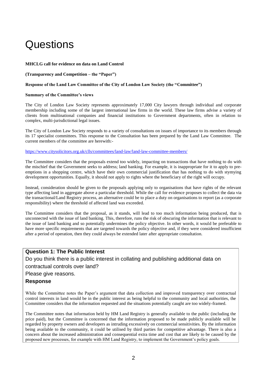# <span id="page-5-0"></span>**Questions**

#### **MHCLG call for evidence on data on Land Control**

#### **(Transparency and Competition – the "Paper")**

#### **Response of the Land Law Committee of the City of London Law Society (the "Committee")**

#### **Summary of the Committee's views**

The City of London Law Society represents approximately 17,000 City lawyers through individual and corporate membership including some of the largest international law firms in the world. These law firms advise a variety of clients from multinational companies and financial institutions to Government departments, often in relation to complex, multi-jurisdictional legal issues.

The City of London Law Society responds to a variety of consultations on issues of importance to its members through its 17 specialist committees. This response to the Consultation has been prepared by the Land Law Committee. The current members of the committee are herewith:-

<https://www.citysolicitors.org.uk/clls/committees/land-law/land-law-committee-members/>

The Committee considers that the proposals extend too widely, impacting on transactions that have nothing to do with the mischief that the Government seeks to address; land banking. For example, it is inappropriate for it to apply to preemptions in a shopping centre, which have their own commercial justification that has nothing to do with stymying development opportunities. Equally, it should not apply to rights where the beneficiary of the right will occupy.

Instead, consideration should be given to the proposals applying only to organisations that have rights of the relevant type affecting land in aggregate above a particular threshold. While the call for evidence proposes to collect the data via the transactional/Land Registry process, an alternative could be to place a duty on organisations to report (as a corporate responsibility) where the threshold of affected land was exceeded.

The Committee considers that the proposal, as it stands, will lead to too much information being produced, that is unconnected with the issue of land banking. This, therefore, runs the risk of obscuring the information that is relevant to the issue of land banking and so potentially undermines the policy objective. In other words, it would be preferable to have more specific requirements that are targeted towards the policy objective and, if they were considered insufficient after a period of operation, then they could always be extended later after appropriate consultation.

#### **Question 1: The Public Interest**

Do you think there is a public interest in collating and publishing additional data on contractual controls over land?

Please give reasons.

#### **Response**

While the Committee notes the Paper's argument that data collection and improved transparency over contractual control interests in land would be in the public interest as being helpful to the community and local authorities, the Committee considers that the information requested and the situations potentially caught are too widely-framed.

The Committee notes that information held by HM Land Registry is generally available to the public (including the price paid), but the Committee is concerned that the information proposed to be made publicly available will be regarded by property owners and developers as intruding excessively on commercial sensitivities. By the information being available to the community, it could be utilised by third parties for competitive advantage. There is also a concern about the increased administration and consequential extra time and cost that are likely to be caused by the proposed new processes, for example with HM Land Registry, to implement the Government's policy goals.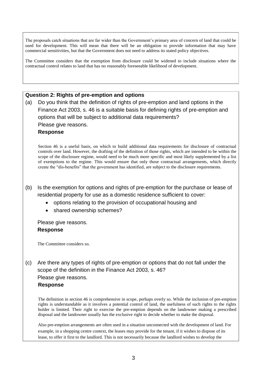The proposals catch situations that are far wider than the Government's primary area of concern of land that could be used for development. This will mean that there will be an obligation to provide information that may have commercial sensitivities, but that the Government does not need to address its stated policy objectives.

The Committee considers that the exemption from disclosure could be widened to include situations where the contractual control relates to land that has no reasonably foreseeable likelihood of development.

#### **Question 2: Rights of pre-emption and options**

(a) Do you think that the definition of rights of pre-emption and land options in the Finance Act 2003, s. 46 is a suitable basis for defining rights of pre-emption and options that will be subject to additional data requirements? Please give reasons. **Response**

Section 46 is a useful basis, on which to build additional data requirements for disclosure of contractual controls over land. However, the drafting of the definition of those rights, which are intended to be within the scope of the disclosure regime, would need to be much more specific and most likely supplemented by a list of exemptions to the regime. This would ensure that only those contractual arrangements, which directly create the "dis-benefits" that the government has identified, are subject to the disclosure requirements.

- (b) Is the exemption for options and rights of pre-emption for the purchase or lease of residential property for use as a domestic residence sufficient to cover:
	- options relating to the provision of occupational housing and
	- shared ownership schemes?

# Please give reasons. **Response**

The Committee considers so.

(c) Are there any types of rights of pre-emption or options that do not fall under the scope of the definition in the Finance Act 2003, s. 46? Please give reasons. **Response**

#### The definition in section 46 is comprehensive in scope, perhaps overly so. While the inclusion of pre-emption rights is understandable as it involves a potential control of land, the usefulness of such rights to the rights holder is limited. Their right to exercise the pre-emption depends on the landowner making a prescribed disposal and the landowner usually has the exclusive right to decide whether to make the disposal.

Also pre-emption arrangements are often used in a situation unconnected with the development of land. For example, in a shopping centre context, the leases may provide for the tenant, if it wishes to dispose of its lease, to offer it first to the landlord. This is not necessarily because the landlord wishes to develop the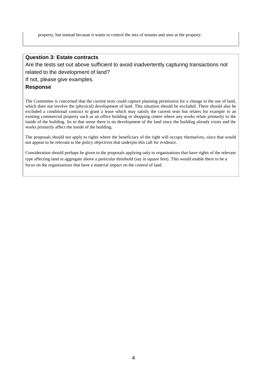property, but instead because it wants to control the mix of tenants and uses at the property.

### **Question 3: Estate contracts**

Are the tests set out above sufficient to avoid inadvertently capturing transactions not related to the development of land?

If not, please give examples.

#### **Response**

The Committee is concerned that the current tests could capture planning permission for a change in the use of land, which does not involve the (physical) development of land. This situation should be excluded. There should also be excluded a conditional contract to grant a lease which may satisfy the current tests but relates for example to an existing commercial property such as an office building or shopping centre where any works relate primarily to the inside of the building. So in that sense there is no development of the land since the building already exists and the works primarily affect the inside of the building.

The proposals should not apply to rights where the beneficiary of the right will occupy themselves, since that would not appear to be relevant to the policy objectives that underpin this call for evidence.

Consideration should perhaps be given to the proposals applying only to organisations that have rights of the relevant type affecting land in aggregate above a particular threshold (say in square feet). This would enable there to be a focus on the organisations that have a material impact on the control of land.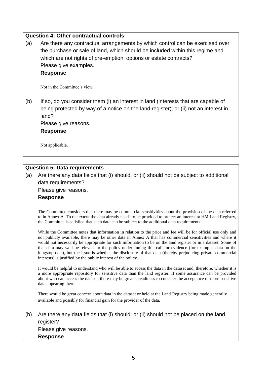# **Question 4: Other contractual controls**

(a) Are there any contractual arrangements by which control can be exercised over the purchase or sale of land, which should be included within this regime and which are not rights of pre-emption, options or estate contracts? Please give examples.

#### **Response**

Not in the Committee's view.

(b) If so, do you consider them (i) an interest in land (interests that are capable of being protected by way of a notice on the land register); or (ii) not an interest in land?

Please give reasons.

**Response**

Not applicable.

# **Question 5: Data requirements**

(a) Are there any data fields that (i) should; or (ii) should not be subject to additional data requirements?

Please give reasons.

#### **Response**

The Committee considers that there may be commercial sensitivities about the provision of the data referred to in Annex A. To the extent the data already needs to be provided to protect an interest at HM Land Registry, the Committee is satisfied that such data can be subject to the additional data requirements.

While the Committee notes that information in relation to the price and fee will be for official use only and not publicly available, there may be other data in Annex A that has commercial sensitivities and where it would not necessarily be appropriate for such information to be on the land register or in a dataset. Some of that data may well be relevant to the policy underpinning this call for evidence (for example, data on the longstop date), but the issue is whether the disclosure of that data (thereby prejudicing private commercial interests) is justified by the public interest of the policy.

It would be helpful to understand who will be able to access the data in the dataset and, therefore, whether it is a more appropriate repository for sensitive data than the land register. If some assurance can be provided about who can access the dataset, there may be greater readiness to consider the acceptance of more sensitive data appearing there.

There would be great concern about data in the dataset or held at the Land Registry being made generally available and possibly for financial gain for the provider of the data.

(b) Are there any data fields that (i) should; or (ii) should not be placed on the land register? Please give reasons.

**Response**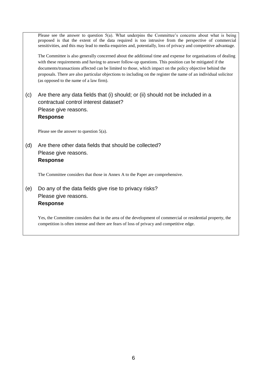Please see the answer to question 5(a). What underpins the Committee's concerns about what is being proposed is that the extent of the data required is too intrusive from the perspective of commercial sensitivities, and this may lead to media enquiries and, potentially, loss of privacy and competitive advantage. The Committee is also generally concerned about the additional time and expense for organisations of dealing with these requirements and having to answer follow-up questions. This position can be mitigated if the documents/transactions affected can be limited to those, which impact on the policy objective behind the proposals. There are also particular objections to including on the register the name of an individual solicitor (as opposed to the name of a law firm). (c) Are there any data fields that (i) should; or (ii) should not be included in a contractual control interest dataset? Please give reasons. **Response** Please see the answer to question 5(a). (d) Are there other data fields that should be collected? Please give reasons. **Response** The Committee considers that those in Annex A to the Paper are comprehensive. (e) Do any of the data fields give rise to privacy risks? Please give reasons. **Response** Yes, the Committee considers that in the area of the development of commercial or residential property, the competition is often intense and there are fears of loss of privacy and competitive edge.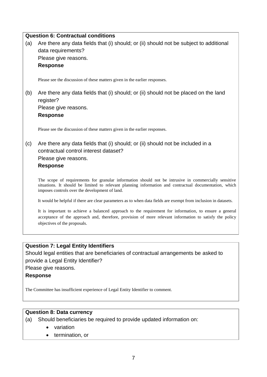|     | <b>Question 6: Contractual conditions</b>                                                                                                                                                                                                                        |  |  |  |  |
|-----|------------------------------------------------------------------------------------------------------------------------------------------------------------------------------------------------------------------------------------------------------------------|--|--|--|--|
| (a) | Are there any data fields that (i) should; or (ii) should not be subject to additional                                                                                                                                                                           |  |  |  |  |
|     | data requirements?                                                                                                                                                                                                                                               |  |  |  |  |
|     | Please give reasons.                                                                                                                                                                                                                                             |  |  |  |  |
|     | <b>Response</b>                                                                                                                                                                                                                                                  |  |  |  |  |
|     | Please see the discussion of these matters given in the earlier responses.                                                                                                                                                                                       |  |  |  |  |
| (b) | Are there any data fields that (i) should; or (ii) should not be placed on the land<br>register?                                                                                                                                                                 |  |  |  |  |
|     | Please give reasons.                                                                                                                                                                                                                                             |  |  |  |  |
|     | <b>Response</b>                                                                                                                                                                                                                                                  |  |  |  |  |
|     | Please see the discussion of these matters given in the earlier responses.                                                                                                                                                                                       |  |  |  |  |
| (c) | Are there any data fields that (i) should; or (ii) should not be included in a                                                                                                                                                                                   |  |  |  |  |
|     | contractual control interest dataset?                                                                                                                                                                                                                            |  |  |  |  |
|     | Please give reasons.                                                                                                                                                                                                                                             |  |  |  |  |
|     | <b>Response</b>                                                                                                                                                                                                                                                  |  |  |  |  |
|     | The scope of requirements for granular information should not be intrusive in commercially sensitive<br>situations. It should be limited to relevant planning information and contractual documentation, which<br>imposes controls over the development of land. |  |  |  |  |
|     | It would be helpful if there are clear parameters as to when data fields are exempt from inclusion in datasets.                                                                                                                                                  |  |  |  |  |
|     | It is important to achieve a balanced approach to the requirement for information, to ensure a general<br>acceptance of the approach and, therefore, provision of more relevant information to satisfy the policy<br>objectives of the proposals.                |  |  |  |  |

# **Question 7: Legal Entity Identifiers**

Should legal entities that are beneficiaries of contractual arrangements be asked to provide a Legal Entity Identifier? Please give reasons.

**Response**

The Committee has insufficient experience of Legal Entity Identifier to comment.

# **Question 8: Data currency**

(a) Should beneficiaries be required to provide updated information on:

- variation
- termination, or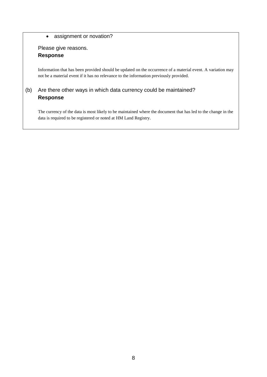### • assignment or novation?

Please give reasons. **Response**

Information that has been provided should be updated on the occurrence of a material event. A variation may not be a material event if it has no relevance to the information previously provided.

# (b) Are there other ways in which data currency could be maintained? **Response**

The currency of the data is most likely to be maintained where the document that has led to the change in the data is required to be registered or noted at HM Land Registry.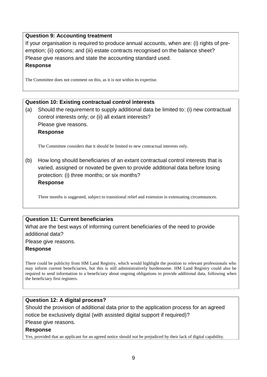# **Question 9: Accounting treatment**

If your organisation is required to produce annual accounts, when are: (i) rights of preemption; (ii) options; and (iii) estate contracts recognised on the balance sheet? Please give reasons and state the accounting standard used. **Response**

The Committee does not comment on this, as it is not within its expertise.

# **Question 10: Existing contractual control interests**

(a) Should the requirement to supply additional data be limited to: (i) new contractual control interests only; or (ii) all extant interests? Please give reasons. **Response**

The Committee considers that it should be limited to new contractual interests only.

(b) How long should beneficiaries of an extant contractual control interests that is varied, assigned or novated be given to provide additional data before losing protection: (i) three months; or six months? **Response**

Three months is suggested, subject to transitional relief and extension in extenuating circumstances.

# **Question 11: Current beneficiaries**

What are the best ways of informing current beneficiaries of the need to provide additional data?

Please give reasons.

# **Response**

There could be publicity from HM Land Registry, which would highlight the position to relevant professionals who may inform current beneficiaries, but this is still administratively burdensome. HM Land Registry could also be required to send information to a beneficiary about ongoing obligations to provide additional data, following when the beneficiary first registers.

# **Question 12: A digital process?**

Should the provision of additional data prior to the application process for an agreed notice be exclusively digital (with assisted digital support if required)? Please give reasons.

# **Response**

Yes, provided that an applicant for an agreed notice should not be prejudiced by their lack of digital capability.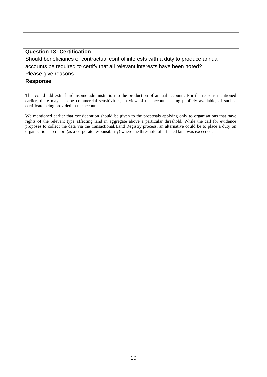# **Question 13: Certification**

Should beneficiaries of contractual control interests with a duty to produce annual accounts be required to certify that all relevant interests have been noted? Please give reasons.

## **Response**

This could add extra burdensome administration to the production of annual accounts. For the reasons mentioned earlier, there may also be commercial sensitivities, in view of the accounts being publicly available, of such a certificate being provided in the accounts.

We mentioned earlier that consideration should be given to the proposals applying only to organisations that have rights of the relevant type affecting land in aggregate above a particular threshold. While the call for evidence proposes to collect the data via the transactional/Land Registry process, an alternative could be to place a duty on organisations to report (as a corporate responsibility) where the threshold of affected land was exceeded.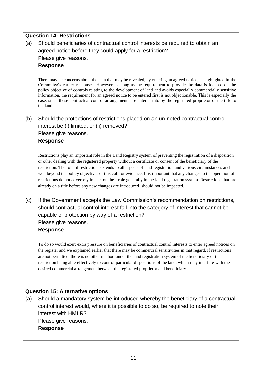# **Question 14: Restrictions**

(a) Should beneficiaries of contractual control interests be required to obtain an agreed notice before they could apply for a restriction? Please give reasons. **Response**

There may be concerns about the data that may be revealed, by entering an agreed notice, as highlighted in the Committee's earlier responses. However, so long as the requirement to provide the data is focused on the policy objective of controls relating to the development of land and avoids especially commercially sensitive information, the requirement for an agreed notice to be entered first is not objectionable. This is especially the case, since these contractual control arrangements are entered into by the registered proprietor of the title to the land.

# (b) Should the protections of restrictions placed on an un-noted contractual control interest be (i) limited; or (ii) removed?

Please give reasons.

#### **Response**

Restrictions play an important role in the Land Registry system of preventing the registration of a disposition or other dealing with the registered property without a certificate or consent of the beneficiary of the restriction. The role of restrictions extends to all aspects of land registration and various circumstances and well beyond the policy objectives of this call for evidence. It is important that any changes to the operation of restrictions do not adversely impact on their role generally in the land registration system. Restrictions that are already on a title before any new changes are introduced, should not be impacted.

(c) If the Government accepts the Law Commission's recommendation on restrictions, should contractual control interest fall into the category of interest that cannot be capable of protection by way of a restriction? Please give reasons. **Response**

To do so would exert extra pressure on beneficiaries of contractual control interests to enter agreed notices on the register and we explained earlier that there may be commercial sensitivities in that regard. If restrictions are not permitted, there is no other method under the land registration system of the beneficiary of the restriction being able effectively to control particular dispositions of the land, which may interfere with the desired commercial arrangement between the registered proprietor and beneficiary.

#### **Question 15: Alternative options**

(a) Should a mandatory system be introduced whereby the beneficiary of a contractual control interest would, where it is possible to do so, be required to note their interest with HMLR? Please give reasons.

**Response**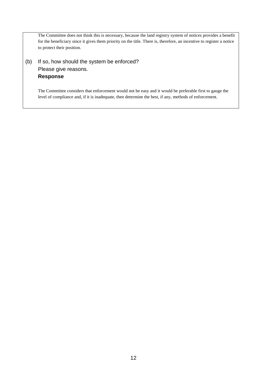The Committee does not think this is necessary, because the land registry system of notices provides a benefit for the beneficiary since it gives them priority on the title. There is, therefore, an incentive to register a notice to protect their position.

(b) If so, how should the system be enforced? Please give reasons. **Response**

> The Committee considers that enforcement would not be easy and it would be preferable first to gauge the level of compliance and, if it is inadequate, then determine the best, if any, methods of enforcement.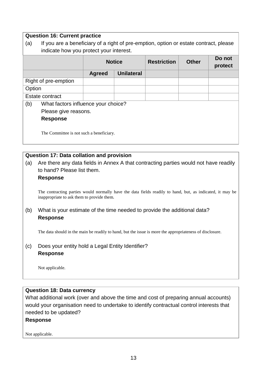# **Question 16: Current practice**

| (a)                  | If you are a beneficiary of a right of pre-emption, option or estate contract, please<br>indicate how you protect your interest. |               |                   |                    |              |                   |
|----------------------|----------------------------------------------------------------------------------------------------------------------------------|---------------|-------------------|--------------------|--------------|-------------------|
|                      |                                                                                                                                  | <b>Notice</b> |                   | <b>Restriction</b> | <b>Other</b> | Do not<br>protect |
|                      |                                                                                                                                  | <b>Agreed</b> | <b>Unilateral</b> |                    |              |                   |
| Right of pre-emption |                                                                                                                                  |               |                   |                    |              |                   |
| Option               |                                                                                                                                  |               |                   |                    |              |                   |
| Estate contract      |                                                                                                                                  |               |                   |                    |              |                   |
| (b)                  | What factors influence your choice?                                                                                              |               |                   |                    |              |                   |
|                      | Please give reasons.                                                                                                             |               |                   |                    |              |                   |
|                      | <b>Response</b>                                                                                                                  |               |                   |                    |              |                   |
|                      | The Committee is not such a beneficiary.                                                                                         |               |                   |                    |              |                   |

# **Question 17: Data collation and provision**

(a) Are there any data fields in Annex A that contracting parties would not have readily to hand? Please list them.

#### **Response**

The contracting parties would normally have the data fields readily to hand, but, as indicated, it may be inappropriate to ask them to provide them.

# (b) What is your estimate of the time needed to provide the additional data? **Response**

The data should in the main be readily to hand, but the issue is more the appropriateness of disclosure.

(c) Does your entity hold a Legal Entity Identifier? **Response**

Not applicable.

# **Question 18: Data currency**

What additional work (over and above the time and cost of preparing annual accounts) would your organisation need to undertake to identify contractual control interests that needed to be updated?

# **Response**

Not applicable.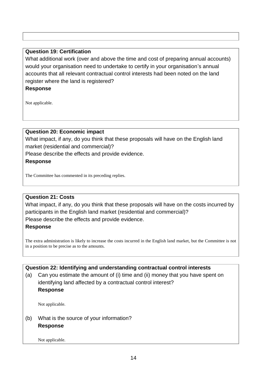# **Question 19: Certification**

What additional work (over and above the time and cost of preparing annual accounts) would your organisation need to undertake to certify in your organisation's annual accounts that all relevant contractual control interests had been noted on the land register where the land is registered?

# **Response**

Not applicable.

# **Question 20: Economic impact**

What impact, if any, do you think that these proposals will have on the English land market (residential and commercial)?

Please describe the effects and provide evidence.

# **Response**

The Committee has commented in its preceding replies.

# **Question 21: Costs**

What impact, if any, do you think that these proposals will have on the costs incurred by participants in the English land market (residential and commercial)?

Please describe the effects and provide evidence.

# **Response**

The extra administration is likely to increase the costs incurred in the English land market, but the Committee is not in a position to be precise as to the amounts.

**Question 22: Identifying and understanding contractual control interests** (a) Can you estimate the amount of (i) time and (ii) money that you have spent on identifying land affected by a contractual control interest? **Response**

Not applicable.

# (b) What is the source of your information? **Response**

Not applicable.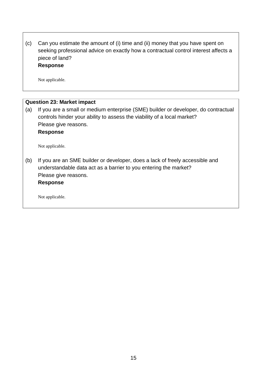(c) Can you estimate the amount of (i) time and (ii) money that you have spent on seeking professional advice on exactly how a contractual control interest affects a piece of land? **Response**

Not applicable.

| <b>Question 23: Market impact</b> |                                                                                                                                                                                                          |  |  |  |  |
|-----------------------------------|----------------------------------------------------------------------------------------------------------------------------------------------------------------------------------------------------------|--|--|--|--|
| (a)                               | If you are a small or medium enterprise (SME) builder or developer, do contractual<br>controls hinder your ability to assess the viability of a local market?<br>Please give reasons.<br><b>Response</b> |  |  |  |  |
|                                   | Not applicable.                                                                                                                                                                                          |  |  |  |  |
| (b)                               | If you are an SME builder or developer, does a lack of freely accessible and<br>understandable data act as a barrier to you entering the market?<br>Please give reasons.<br><b>Response</b>              |  |  |  |  |
|                                   | Not applicable.                                                                                                                                                                                          |  |  |  |  |
|                                   |                                                                                                                                                                                                          |  |  |  |  |